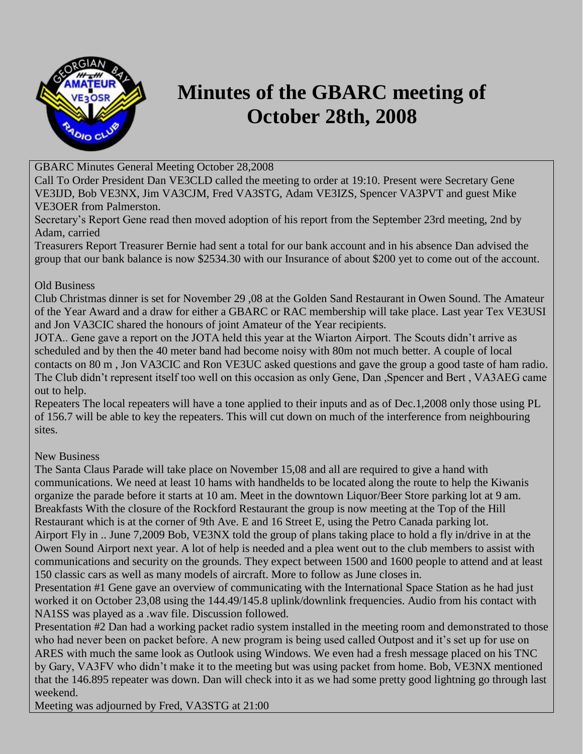

## **Minutes of the GBARC meeting of October 28th, 2008**

GBARC Minutes General Meeting October 28,2008

Call To Order President Dan VE3CLD called the meeting to order at 19:10. Present were Secretary Gene VE3IJD, Bob VE3NX, Jim VA3CJM, Fred VA3STG, Adam VE3IZS, Spencer VA3PVT and guest Mike VE3OER from Palmerston.

Secretary's Report Gene read then moved adoption of his report from the September 23rd meeting, 2nd by Adam, carried

Treasurers Report Treasurer Bernie had sent a total for our bank account and in his absence Dan advised the group that our bank balance is now \$2534.30 with our Insurance of about \$200 yet to come out of the account.

## Old Business

Club Christmas dinner is set for November 29 ,08 at the Golden Sand Restaurant in Owen Sound. The Amateur of the Year Award and a draw for either a GBARC or RAC membership will take place. Last year Tex VE3USI and Jon VA3CIC shared the honours of joint Amateur of the Year recipients.

JOTA.. Gene gave a report on the JOTA held this year at the Wiarton Airport. The Scouts didn't arrive as scheduled and by then the 40 meter band had become noisy with 80m not much better. A couple of local contacts on 80 m , Jon VA3CIC and Ron VE3UC asked questions and gave the group a good taste of ham radio. The Club didn't represent itself too well on this occasion as only Gene, Dan ,Spencer and Bert , VA3AEG came out to help.

Repeaters The local repeaters will have a tone applied to their inputs and as of Dec.1,2008 only those using PL of 156.7 will be able to key the repeaters. This will cut down on much of the interference from neighbouring sites.

## New Business

The Santa Claus Parade will take place on November 15,08 and all are required to give a hand with communications. We need at least 10 hams with handhelds to be located along the route to help the Kiwanis organize the parade before it starts at 10 am. Meet in the downtown Liquor/Beer Store parking lot at 9 am. Breakfasts With the closure of the Rockford Restaurant the group is now meeting at the Top of the Hill Restaurant which is at the corner of 9th Ave. E and 16 Street E, using the Petro Canada parking lot. Airport Fly in .. June 7,2009 Bob, VE3NX told the group of plans taking place to hold a fly in/drive in at the Owen Sound Airport next year. A lot of help is needed and a plea went out to the club members to assist with communications and security on the grounds. They expect between 1500 and 1600 people to attend and at least 150 classic cars as well as many models of aircraft. More to follow as June closes in.

Presentation #1 Gene gave an overview of communicating with the International Space Station as he had just worked it on October 23,08 using the 144.49/145.8 uplink/downlink frequencies. Audio from his contact with NA1SS was played as a .wav file. Discussion followed.

Presentation #2 Dan had a working packet radio system installed in the meeting room and demonstrated to those who had never been on packet before. A new program is being used called Outpost and it's set up for use on ARES with much the same look as Outlook using Windows. We even had a fresh message placed on his TNC by Gary, VA3FV who didn't make it to the meeting but was using packet from home. Bob, VE3NX mentioned that the 146.895 repeater was down. Dan will check into it as we had some pretty good lightning go through last weekend.

Meeting was adjourned by Fred, VA3STG at 21:00